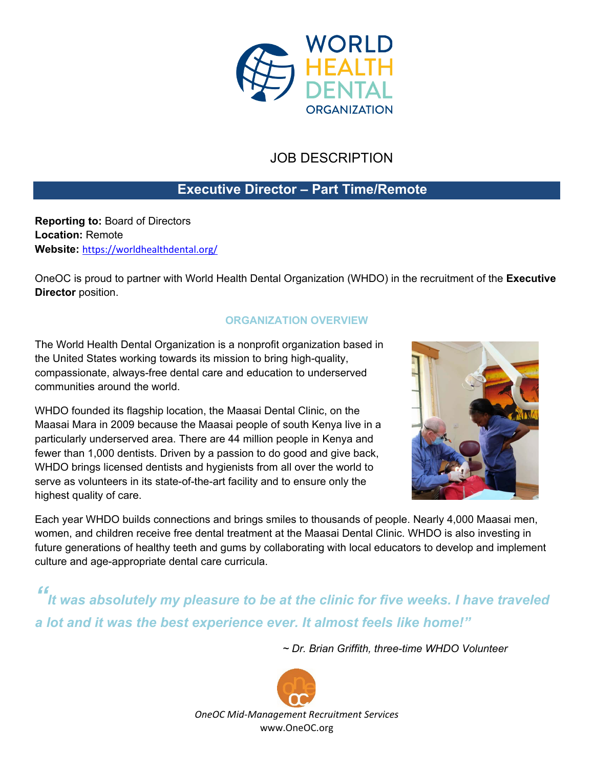

# JOB DESCRIPTION

### **Executive Director – Part Time/Remote**

**Reporting to:** Board of Directors **Location:** Remote **Website:** <https://worldhealthdental.org/>

OneOC is proud to partner with World Health Dental Organization (WHDO) in the recruitment of the **Executive Director** position.

### **ORGANIZATION OVERVIEW**

The World Health Dental Organization is a nonprofit organization based in the United States working towards its mission to bring high-quality, compassionate, always-free dental care and education to underserved communities around the world.

WHDO founded its flagship location, the Maasai Dental Clinic, on the Maasai Mara in 2009 because the Maasai people of south Kenya live in a particularly underserved area. There are 44 million people in Kenya and fewer than 1,000 dentists. Driven by a passion to do good and give back, WHDO brings licensed dentists and hygienists from all over the world to serve as volunteers in its state-of-the-art facility and to ensure only the highest quality of care.



Each year WHDO builds connections and brings smiles to thousands of people. Nearly 4,000 Maasai men, women, and children receive free dental treatment at the Maasai Dental Clinic. WHDO is also investing in future generations of healthy teeth and gums by collaborating with local educators to develop and implement culture and age-appropriate dental care curricula.

*" It was absolutely my pleasure to be at the clinic for five weeks. I have traveled a lot and it was the best experience ever. It almost feels like home!"*

*~ Dr. Brian Griffith, three-time WHDO Volunteer*

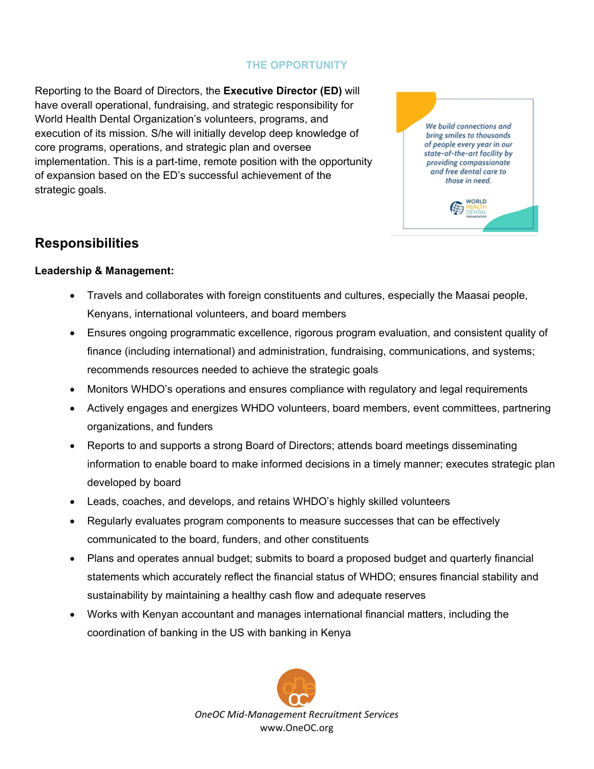#### **THE OPPORTUNITY**

Reporting to the Board of Directors, the **Executive Director (ED)** will have overall operational, fundraising, and strategic responsibility for World Health Dental Organization's volunteers, programs, and execution of its mission. S/he will initially develop deep knowledge of core programs, operations, and strategic plan and oversee implementation. This is a part-time, remote position with the opportunity of expansion based on the ED's successful achievement of the strategic goals.



# **Responsibilities**

#### **Leadership & Management:**

- Travels and collaborates with foreign constituents and cultures, especially the Maasai people, Kenyans, international volunteers, and board members
- Ensures ongoing programmatic excellence, rigorous program evaluation, and consistent quality of finance (including international) and administration, fundraising, communications, and systems; recommends resources needed to achieve the strategic goals
- Monitors WHDO's operations and ensures compliance with regulatory and legal requirements
- Actively engages and energizes WHDO volunteers, board members, event committees, partnering organizations, and funders
- Reports to and supports a strong Board of Directors; attends board meetings disseminating information to enable board to make informed decisions in a timely manner; executes strategic plan developed by board
- Leads, coaches, and develops, and retains WHDO's highly skilled volunteers
- Regularly evaluates program components to measure successes that can be effectively communicated to the board, funders, and other constituents
- Plans and operates annual budget; submits to board a proposed budget and quarterly financial statements which accurately reflect the financial status of WHDO; ensures financial stability and sustainability by maintaining a healthy cash flow and adequate reserves
- Works with Kenyan accountant and manages international financial matters, including the coordination of banking in the US with banking in Kenya

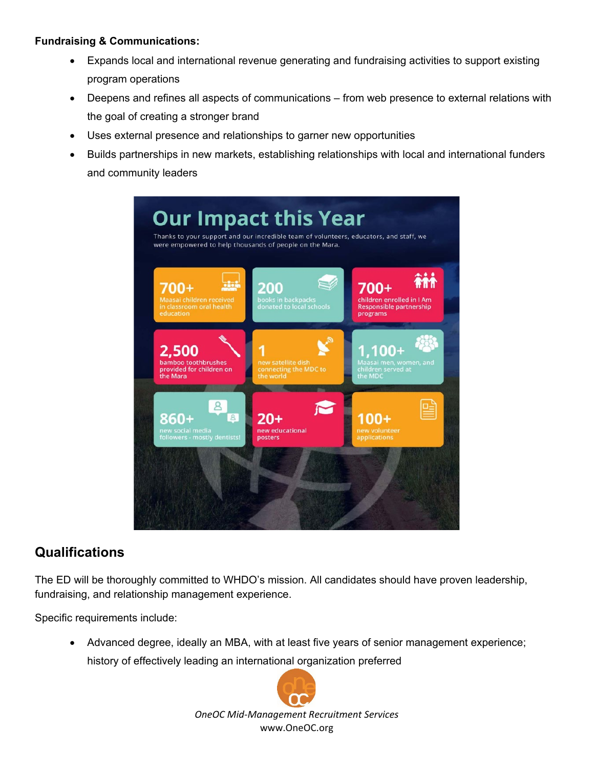### **Fundraising & Communications:**

- Expands local and international revenue generating and fundraising activities to support existing program operations
- Deepens and refines all aspects of communications from web presence to external relations with the goal of creating a stronger brand
- Uses external presence and relationships to garner new opportunities
- Builds partnerships in new markets, establishing relationships with local and international funders and community leaders



## **Qualifications**

The ED will be thoroughly committed to WHDO's mission. All candidates should have proven leadership, fundraising, and relationship management experience.

Specific requirements include:

• Advanced degree, ideally an MBA, with at least five years of senior management experience; history of effectively leading an international organization preferred



*OneOC Mid-Management Recruitment Services* www.OneOC.org